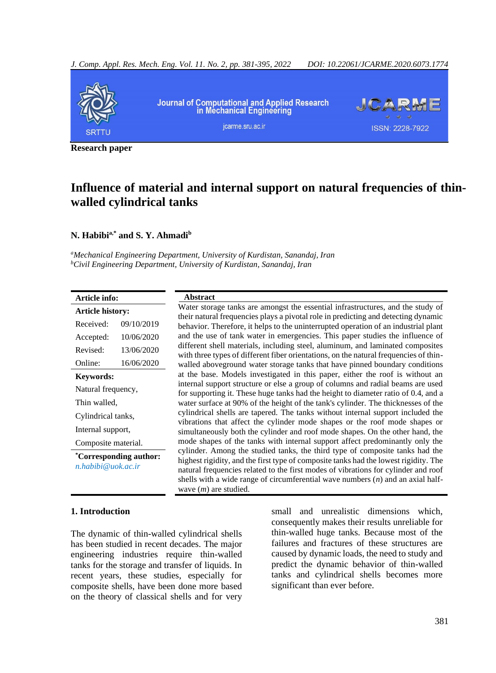

**Research paper**

## **Influence of material and internal support on natural frequencies of thinwalled cylindrical tanks**

#### **N. Habibia,\* and S. Y. Ahmadi<sup>b</sup>**

*<sup>a</sup>Mechanical Engineering Department, University of Kurdistan, Sanandaj, Iran <sup>b</sup>Civil Engineering Department, University of Kurdistan, Sanandaj, Iran*

| Article info:                                          |            | <b>Abstract</b>                                                                                                                                                                                                                                                                                                                                                            |
|--------------------------------------------------------|------------|----------------------------------------------------------------------------------------------------------------------------------------------------------------------------------------------------------------------------------------------------------------------------------------------------------------------------------------------------------------------------|
| Article history:                                       |            | Water storage tanks are amongst the essential infrastructures, and the study of                                                                                                                                                                                                                                                                                            |
| Received:                                              | 09/10/2019 | their natural frequencies plays a pivotal role in predicting and detecting dynamic<br>behavior. Therefore, it helps to the uninterrupted operation of an industrial plant                                                                                                                                                                                                  |
| Accepted:                                              | 10/06/2020 | and the use of tank water in emergencies. This paper studies the influence of                                                                                                                                                                                                                                                                                              |
| Revised:                                               | 13/06/2020 | different shell materials, including steel, aluminum, and laminated composites<br>with three types of different fiber orientations, on the natural frequencies of thin-                                                                                                                                                                                                    |
| Online:                                                | 16/06/2020 | walled aboveground water storage tanks that have pinned boundary conditions                                                                                                                                                                                                                                                                                                |
| <b>Keywords:</b>                                       |            | at the base. Models investigated in this paper, either the roof is without an                                                                                                                                                                                                                                                                                              |
| Natural frequency,                                     |            | internal support structure or else a group of columns and radial beams are used<br>for supporting it. These huge tanks had the height to diameter ratio of 0.4, and a                                                                                                                                                                                                      |
| Thin walled,                                           |            | water surface at 90% of the height of the tank's cylinder. The thicknesses of the                                                                                                                                                                                                                                                                                          |
| Cylindrical tanks,                                     |            | cylindrical shells are tapered. The tanks without internal support included the                                                                                                                                                                                                                                                                                            |
| Internal support,                                      |            | vibrations that affect the cylinder mode shapes or the roof mode shapes or<br>simultaneously both the cylinder and roof mode shapes. On the other hand, the                                                                                                                                                                                                                |
| Composite material.                                    |            | mode shapes of the tanks with internal support affect predominantly only the                                                                                                                                                                                                                                                                                               |
| <i>*Corresponding author:</i><br>$n.$ habibi@uok.ac.ir |            | cylinder. Among the studied tanks, the third type of composite tanks had the<br>highest rigidity, and the first type of composite tanks had the lowest rigidity. The<br>natural frequencies related to the first modes of vibrations for cylinder and roof<br>shells with a wide range of circumferential wave numbers $(n)$ and an axial half-<br>wave $(m)$ are studied. |

#### **1. Introduction**

The dynamic of thin-walled cylindrical shells has been studied in recent decades. The major engineering industries require thin-walled tanks for the storage and transfer of liquids. In recent years, these studies, especially for composite shells, have been done more based on the theory of classical shells and for very small and unrealistic dimensions which, consequently makes their results unreliable for thin-walled huge tanks. Because most of the failures and fractures of these structures are caused by dynamic loads, the need to study and predict the dynamic behavior of thin-walled tanks and cylindrical shells becomes more significant than ever before.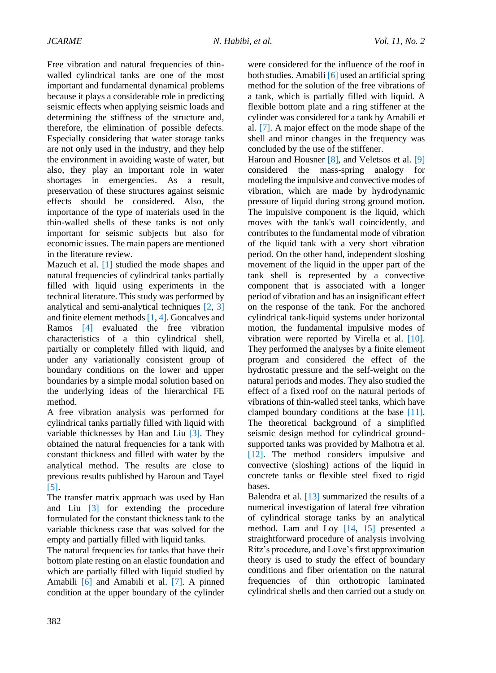Free vibration and natural frequencies of thinwalled cylindrical tanks are one of the most important and fundamental dynamical problems because it plays a considerable role in predicting seismic effects when applying seismic loads and determining the stiffness of the structure and, therefore, the elimination of possible defects. Especially considering that water storage tanks are not only used in the industry, and they help the environment in avoiding waste of water, but also, they play an important role in water shortages in emergencies. As a result, preservation of these structures against seismic effects should be considered. Also, the importance of the type of materials used in the thin-walled shells of these tanks is not only important for seismic subjects but also for economic issues. The main papers are mentioned in the literature review.

Mazuch et al. [1] studied the mode shapes and natural frequencies of cylindrical tanks partially filled with liquid using experiments in the technical literature. This study was performed by analytical and semi-analytical techniques [2, 3] and finite element methods [1, 4]. Goncalves and Ramos [4] evaluated the free vibration characteristics of a thin cylindrical shell, partially or completely filled with liquid, and under any variationally consistent group of boundary conditions on the lower and upper boundaries by a simple modal solution based on the underlying ideas of the hierarchical FE method.

A free vibration analysis was performed for cylindrical tanks partially filled with liquid with variable thicknesses by Han and Liu [3]. They obtained the natural frequencies for a tank with constant thickness and filled with water by the analytical method. The results are close to previous results published by Haroun and Tayel [5].

The transfer matrix approach was used by Han and Liu [3] for extending the procedure formulated for the constant thickness tank to the variable thickness case that was solved for the empty and partially filled with liquid tanks.

The natural frequencies for tanks that have their bottom plate resting on an elastic foundation and which are partially filled with liquid studied by Amabili [6] and Amabili et al. [7]. A pinned condition at the upper boundary of the cylinder

were considered for the influence of the roof in both studies. Amabili [6] used an artificial spring method for the solution of the free vibrations of a tank, which is partially filled with liquid. A flexible bottom plate and a ring stiffener at the cylinder was considered for a tank by Amabili et al. [7]. A major effect on the mode shape of the shell and minor changes in the frequency was concluded by the use of the stiffener.

Haroun and Housner [8], and Veletsos et al. [9] considered the mass-spring analogy for modeling the impulsive and convective modes of vibration, which are made by hydrodynamic pressure of liquid during strong ground motion. The impulsive component is the liquid, which moves with the tank's wall coincidently, and contributes to the fundamental mode of vibration of the liquid tank with a very short vibration period. On the other hand, independent sloshing movement of the liquid in the upper part of the tank shell is represented by a convective component that is associated with a longer period of vibration and has an insignificant effect on the response of the tank. For the anchored cylindrical tank-liquid systems under horizontal motion, the fundamental impulsive modes of vibration were reported by Virella et al. [10]. They performed the analyses by a finite element program and considered the effect of the hydrostatic pressure and the self-weight on the natural periods and modes. They also studied the effect of a fixed roof on the natural periods of vibrations of thin-walled steel tanks, which have clamped boundary conditions at the base [11]. The theoretical background of a simplified seismic design method for cylindrical groundsupported tanks was provided by Malhotra et al. [12]. The method considers impulsive and convective (sloshing) actions of the liquid in concrete tanks or flexible steel fixed to rigid bases.

Balendra et al. [13] summarized the results of a numerical investigation of lateral free vibration of cylindrical storage tanks by an analytical method. Lam and Loy [14, 15] presented a straightforward procedure of analysis involving Ritz's procedure, and Love's first approximation theory is used to study the effect of boundary conditions and fiber orientation on the natural frequencies of thin orthotropic laminated cylindrical shells and then carried out a study on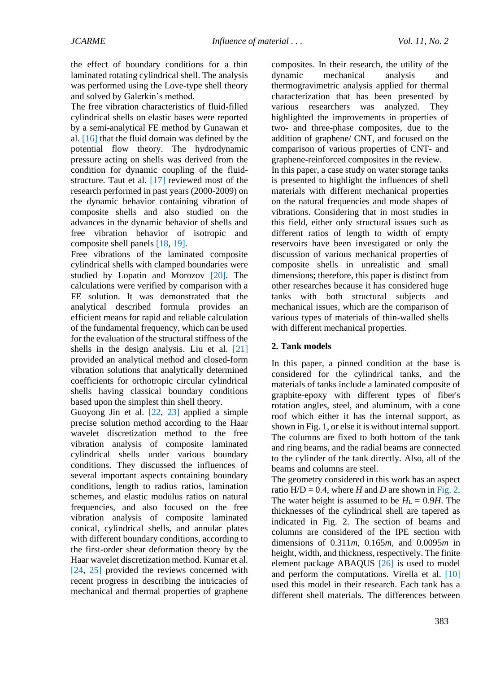the effect of boundary conditions for a thin laminated rotating cylindrical shell. The analysis was performed using the Love-type shell theory and solved by Galerkin's method.

The free vibration characteristics of fluid-filled cylindrical shells on elastic bases were reported by a semi-analytical FE method by Gunawan et al. [16] that the fluid domain was defined by the potential flow theory. The hydrodynamic pressure acting on shells was derived from the condition for dynamic coupling of the fluidstructure. Taut et al. [17] reviewed most of the research performed in past years (2000-2009) on the dynamic behavior containing vibration of composite shells and also studied on the advances in the dynamic behavior of shells and free vibration behavior of isotropic and composite shell panels [18, 19].

Free vibrations of the laminated composite cylindrical shells with clamped boundaries were studied by Lopatin and Morozov [20]. The calculations were verified by comparison with a FE solution. It was demonstrated that the analytical described formula provides an efficient means for rapid and reliable calculation of the fundamental frequency, which can be used for the evaluation of the structural stiffness of the shells in the design analysis. Liu et al. [21] provided an analytical method and closed-form vibration solutions that analytically determined coefficients for orthotropic circular cylindrical shells having classical boundary conditions based upon the simplest thin shell theory.

Guoyong Jin et al. [22, 23] applied a simple precise solution method according to the Haar wavelet discretization method to the free vibration analysis of composite laminated cylindrical shells under various boundary conditions. They discussed the influences of several important aspects containing boundary conditions, length to radius ratios, lamination schemes, and elastic modulus ratios on natural frequencies, and also focused on the free vibration analysis of composite laminated conical, cylindrical shells, and annular plates with different boundary conditions, according to the first-order shear deformation theory by the Haar wavelet discretization method. Kumar et al. [24, 25] provided the reviews concerned with recent progress in describing the intricacies of mechanical and thermal properties of graphene composites. In their research, the utility of the dynamic mechanical analysis and thermogravimetric analysis applied for thermal characterization that has been presented by various researchers was analyzed. They highlighted the improvements in properties of two- and three-phase composites, due to the addition of graphene/ CNT, and focused on the comparison of various properties of CNT- and graphene-reinforced composites in the review. In this paper, a case study on water storage tanks is presented to highlight the influences of shell materials with different mechanical properties on the natural frequencies and mode shapes of vibrations. Considering that in most studies in this field, either only structural issues such as different ratios of length to width of empty reservoirs have been investigated or only the discussion of various mechanical properties of composite shells in unrealistic and small dimensions; therefore, this paper is distinct from other researches because it has considered huge tanks with both structural subjects and mechanical issues, which are the comparison of various types of materials of thin-walled shells with different mechanical properties.

#### **2. Tank models**

In this paper, a pinned condition at the base is considered for the cylindrical tanks, and the materials of tanks include a laminated composite of graphite-epoxy with different types of fiber's rotation angles, steel, and aluminum, with a cone roof which either it has the internal support, as shown in Fig. 1, or else it is without internal support. The columns are fixed to both bottom of the tank and ring beams, and the radial beams are connected to the cylinder of the tank directly. Also, all of the beams and columns are steel.

The geometry considered in this work has an aspect ratio  $H/D = 0.4$ , where *H* and *D* are shown in Fig. 2. The water height is assumed to be  $H<sub>L</sub> = 0.9H$ . The thicknesses of the cylindrical shell are tapered as indicated in Fig. 2. The section of beams and columns are considered of the IPE section with dimensions of 0.311*m*, 0.165*m,* and 0.0095*m* in height, width, and thickness, respectively. The finite element package ABAQUS [26] is used to model and perform the computations. Virella et al. [10] used this model in their research. Each tank has a different shell materials. The differences between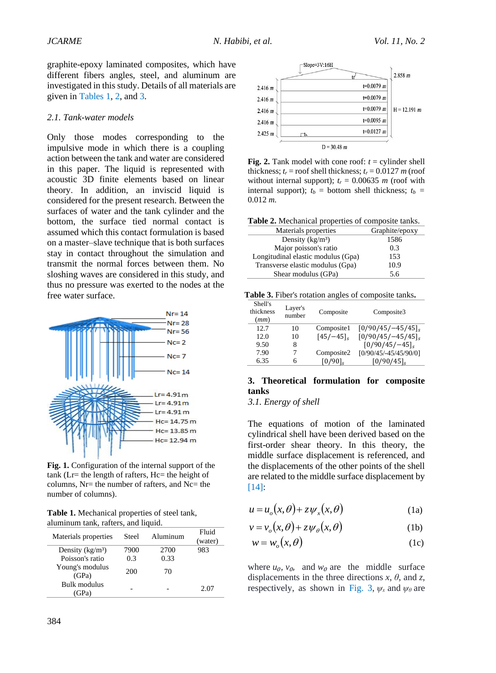graphite-epoxy laminated composites, which have different fibers angles, steel, and aluminum are investigated in this study. Details of all materials are given in Tables 1, 2, and 3.

#### *2.1. Tank-water models*

Only those modes corresponding to the impulsive mode in which there is a coupling action between the tank and water are considered in this paper. The liquid is represented with acoustic 3D finite elements based on linear theory. In addition, an inviscid liquid is considered for the present research. Between the surfaces of water and the tank cylinder and the bottom, the surface tied normal contact is assumed which this contact formulation is based on a master–slave technique that is both surfaces stay in contact throughout the simulation and transmit the normal forces between them. No sloshing waves are considered in this study, and thus no pressure was exerted to the nodes at the free water surface.



**Fig. 1.** Configuration of the internal support of the tank (Lr= the length of rafters, Hc= the height of columns, Nr= the number of rafters, and Nc= the number of columns).

**Table 1.** Mechanical properties of steel tank, aluminum tank, rafters, and liquid.

| Materials properties        | Steel | Aluminum | Fluid<br>(water) |
|-----------------------------|-------|----------|------------------|
| Density $(kg/m3)$           | 7900  | 2700     | 983              |
| Poisson's ratio             | 0.3   | 0.33     |                  |
| Young's modulus<br>(GPa)    | 200   | 70       |                  |
| Bulk modulus<br>$\angle$ Pa |       |          | 2.07             |



**Fig. 2.** Tank model with cone roof:  $t =$  cylinder shell thickness;  $t_r$  = roof shell thickness;  $t_r$  = 0.0127 *m* (roof without internal support);  $t_r = 0.00635$  *m* (roof with internal support);  $t_b =$  bottom shell thickness;  $t_b =$ 0.012 *m.*

| Table 2. Mechanical properties of composite tanks. |  |  |
|----------------------------------------------------|--|--|
|----------------------------------------------------|--|--|

| Materials properties               | Graphite/epoxy |
|------------------------------------|----------------|
| Density $(kg/m3)$                  | 1586           |
| Major poisson's ratio              | 0.3            |
| Longitudinal elastic modulus (Gpa) | 153            |
| Transverse elastic modulus (Gpa)   | 10.9           |
| Shear modulus (GPa)                | 5.6            |

**Table 3.** Fiber's rotation angles of composite tanks**.**

| Shell's<br>thickness<br>(mm) | Layer's<br>number | Composite  | Composite3            |
|------------------------------|-------------------|------------|-----------------------|
| 12.7                         | 10                | Composite1 | $[0/90/45/-45/45]$    |
| 12.0                         | 10                | $[45/-45]$ | $[0/90/45/-45/45]$    |
| 9.50                         | 8                 |            | $[0/90/45/-45]$       |
| 7.90                         | 7                 | Composite2 | [0/90/45/-45/45/90/0] |
| 6.35                         | 6                 | $[0/90]$ , | [0/90/45]             |

#### **3. Theoretical formulation for composite tanks**

*3.1. Energy of shell*

The equations of motion of the laminated cylindrical shell have been derived based on the first-order shear theory. In this theory, the middle surface displacement is referenced, and the displacements of the other points of the shell are related to the middle surface displacement by [14]:

$$
u = u_o(x, \theta) + z \psi_x(x, \theta)
$$
 (1a)

$$
v = v_o(x, \theta) + z \psi_o(x, \theta)
$$
 (1b)

$$
w = w_o(x, \theta) \tag{1c}
$$

where  $u_0$ ,  $v_0$ , and  $w_0$  are the middle surface displacements in the three directions  $x$ ,  $\theta$ , and  $z$ , respectively, as shown in Fig. 3,  $\psi_x$  and  $\psi_\theta$  are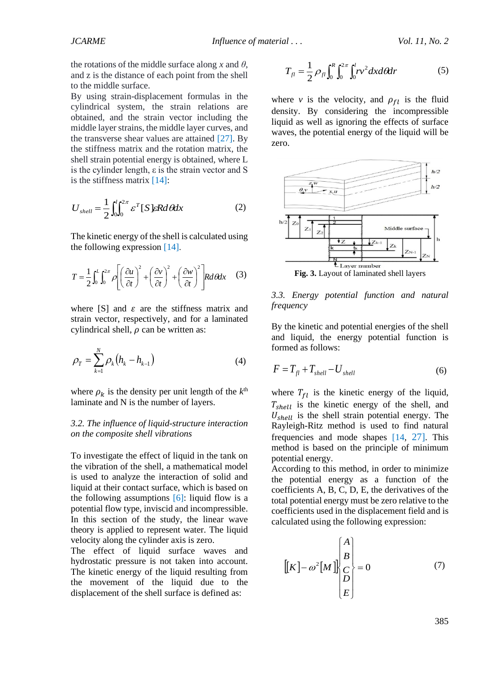the rotations of the middle surface along x and  $\theta$ , and z is the distance of each point from the shell to the middle surface.

By using strain-displacement formulas in the cylindrical system, the strain relations are obtained, and the strain vector including the middle layer strains, the middle layer curves, and the transverse shear values are attained [27]. By the stiffness matrix and the rotation matrix, the shell strain potential energy is obtained, where L is the cylinder length, ε is the strain vector and S is the stiffness matrix [14]:

$$
U_{shell} = \frac{1}{2} \int_0^l \int_0^{2\pi} \varepsilon^T [S] \varepsilon R d\theta dx \tag{2}
$$

The kinetic energy of the shell is calculated using the following expression [14].

$$
T = \frac{1}{2} \int_0^L \int_0^{2\pi} \rho \left[ \left( \frac{\partial u}{\partial t} \right)^2 + \left( \frac{\partial v}{\partial t} \right)^2 + \left( \frac{\partial w}{\partial t} \right)^2 \right] R d\theta dx \quad (3)
$$

where  $[S]$  and  $\varepsilon$  are the stiffness matrix and strain vector, respectively, and for a laminated cylindrical shell,  $\rho$  can be written as:

$$
\rho_T = \sum_{k=1}^{N} \rho_k (h_k - h_{k-1})
$$
\n(4)

where  $\rho_k$  is the density per unit length of the  $k^{\text{th}}$ laminate and N is the number of layers.

#### *3.2. The influence of liquid-structure interaction on the composite shell vibrations*

To investigate the effect of liquid in the tank on the vibration of the shell, a mathematical model is used to analyze the interaction of solid and liquid at their contact surface, which is based on the following assumptions  $[6]$ : liquid flow is a potential flow type, inviscid and incompressible. In this section of the study, the linear wave theory is applied to represent water. The liquid velocity along the cylinder axis is zero.

The effect of liquid surface waves and hydrostatic pressure is not taken into account. The kinetic energy of the liquid resulting from the movement of the liquid due to the displacement of the shell surface is defined as:

$$
T_{fl} = \frac{1}{2} \rho_{fl} \int_0^R \int_0^{2\pi} \int_0^l r v^2 dx d\theta dr \tag{5}
$$

where *v* is the velocity, and  $\rho_{fl}$  is the fluid density. By considering the incompressible liquid as well as ignoring the effects of surface waves, the potential energy of the liquid will be zero.



*3.3. Energy potential function and natural frequency*

By the kinetic and potential energies of the shell and liquid, the energy potential function is formed as follows:

$$
F = T_{fl} + T_{shell} - U_{shell}
$$
 (6)

where  $T_{fl}$  is the kinetic energy of the liquid,  $T_{shell}$  is the kinetic energy of the shell, and  $U_{shell}$  is the shell strain potential energy. The Rayleigh-Ritz method is used to find natural frequencies and mode shapes [14, 27]. This method is based on the principle of minimum potential energy.

According to this method, in order to minimize the potential energy as a function of the coefficients A, B, C, D, E, the derivatives of the total potential energy must be zero relative to the coefficients used in the displacement field and is calculated using the following expression:

$$
\begin{bmatrix} [K] - \omega^2 [M] \end{bmatrix} \begin{bmatrix} A \\ B \\ C \\ D \\ E \end{bmatrix} = 0 \tag{7}
$$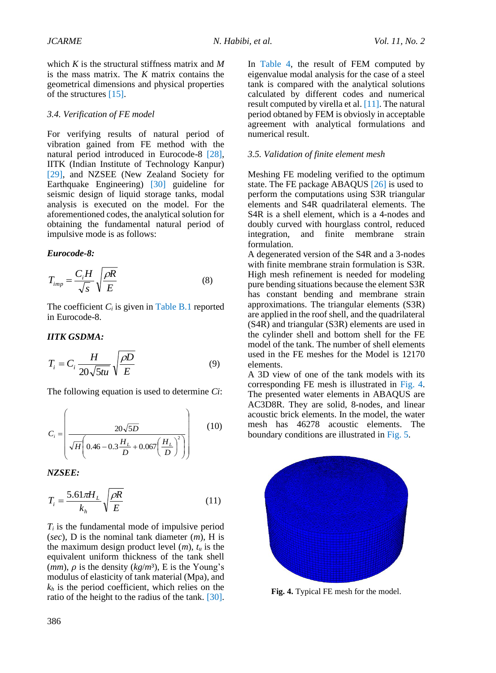which *K* is the structural stiffness matrix and *M* is the mass matrix. The *K* matrix contains the geometrical dimensions and physical properties of the structures [15].

#### *3.4. Verification of FE model*

For verifying results of natural period of vibration gained from FE method with the natural period introduced in Eurocode-8 [28], IITK (Indian Institute of Technology Kanpur) [29], and NZSEE (New Zealand Society for Earthquake Engineering) [30] guideline for seismic design of liquid storage tanks, modal analysis is executed on the model. For the aforementioned codes, the analytical solution for obtaining the fundamental natural period of impulsive mode is as follows:

#### *Eurocode-8:*

$$
T_{imp} = \frac{C_i H}{\sqrt{s}} \sqrt{\frac{\rho R}{E}}
$$
 (8)

The coefficient  $C_i$  is given in Table B.1 reported in Eurocode-8.

#### *IITK GSDMA:*

$$
T_i = C_i \frac{H}{20\sqrt{5tu}} \sqrt{\frac{\rho D}{E}}
$$
 (9)

The following equation is used to determine *Ci*:

$$
C_i = \left(\frac{20\sqrt{5D}}{\sqrt{H}\left(0.46 - 0.3\frac{H_L}{D} + 0.067\left(\frac{H_L}{D}\right)^2\right)}\right) \tag{10}
$$

*NZSEE:*

$$
T_i = \frac{5.61\pi H_L}{k_h} \sqrt{\frac{\rho R}{E}}
$$
(11)

*T<sup>i</sup>* is the fundamental mode of impulsive period (*sec*), D is the nominal tank diameter (*m*), H is the maximum design product level  $(m)$ ,  $t_u$  is the equivalent uniform thickness of the tank shell  $(mm)$ ,  $\rho$  is the density  $(kg/m^3)$ , E is the Young's modulus of elasticity of tank material (Mpa), and  $k_h$  is the period coefficient, which relies on the ratio of the height to the radius of the tank. [30].

In Table 4, the result of FEM computed by eigenvalue modal analysis for the case of a steel tank is compared with the analytical solutions calculated by different codes and numerical result computed by virella et al. [11]. The natural period obtaned by FEM is obviosly in acceptable agreement with analytical formulations and numerical result.

#### *3.5. Validation of finite element mesh*

Meshing FE modeling verified to the optimum state. The FE package ABAQUS [26] is used to perform the computations using S3R triangular elements and S4R quadrilateral elements. The S4R is a shell element, which is a 4-nodes and doubly curved with hourglass control, reduced integration, and finite membrane strain formulation.

A degenerated version of the S4R and a 3-nodes with finite membrane strain formulation is S3R. High mesh refinement is needed for modeling pure bending situations because the element S3R has constant bending and membrane strain approximations. The triangular elements (S3R) are applied in the roof shell, and the quadrilateral (S4R) and triangular (S3R) elements are used in the cylinder shell and bottom shell for the FE model of the tank. The number of shell elements used in the FE meshes for the Model is 12170 elements.

A 3D view of one of the tank models with its corresponding FE mesh is illustrated in Fig. 4. The presented water elements in ABAQUS are AC3D8R. They are solid, 8-nodes, and linear acoustic brick elements. In the model, the water mesh has 46278 acoustic elements. The boundary conditions are illustrated in Fig. 5.



**Fig. 4.** Typical FE mesh for the model.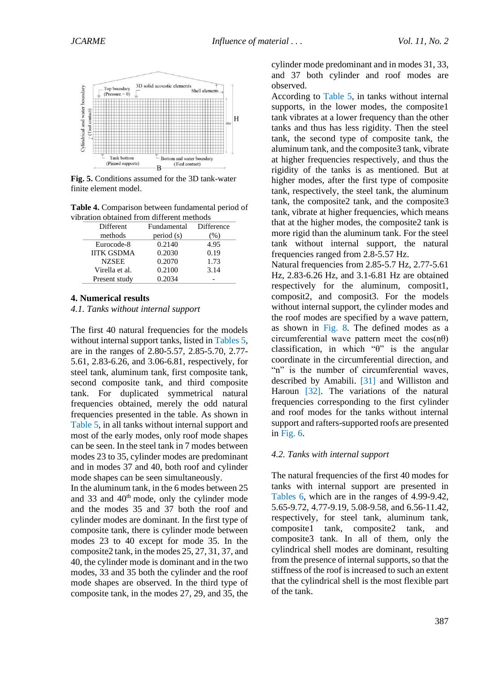

**Fig. 5.** Conditions assumed for the 3D tank-water finite element model.

**Table 4.** Comparison between fundamental period of vibration obtained from different methods

| Different         | Fundamental | <b>Difference</b> |
|-------------------|-------------|-------------------|
| methods           | period (s)  | (% )              |
| Eurocode-8        | 0.2140      | 4.95              |
| <b>IITK GSDMA</b> | 0.2030      | 0.19              |
| <b>NZSEE</b>      | 0.2070      | 1.73              |
| Virella et al.    | 0.2100      | 3.14              |
| Present study     | 0.2034      |                   |

#### **4. Numerical results**

*4.1. Tanks without internal support*

The first 40 natural frequencies for the models without internal support tanks, listed in Tables 5, are in the ranges of 2.80-5.57, 2.85-5.70, 2.77- 5.61, 2.83-6.26, and 3.06-6.81, respectively, for steel tank, aluminum tank, first composite tank, second composite tank, and third composite tank. For duplicated symmetrical natural frequencies obtained, merely the odd natural frequencies presented in the table. As shown in Table 5, in all tanks without internal support and most of the early modes, only roof mode shapes can be seen. In the steel tank in 7 modes between modes 23 to 35, cylinder modes are predominant and in modes 37 and 40, both roof and cylinder mode shapes can be seen simultaneously.

In the aluminum tank, in the 6 modes between 25 and 33 and 40<sup>th</sup> mode, only the cylinder mode and the modes 35 and 37 both the roof and cylinder modes are dominant. In the first type of composite tank, there is cylinder mode between modes 23 to 40 except for mode 35. In the composite2 tank, in the modes 25, 27, 31, 37, and 40, the cylinder mode is dominant and in the two modes, 33 and 35 both the cylinder and the roof mode shapes are observed. In the third type of composite tank, in the modes 27, 29, and 35, the

cylinder mode predominant and in modes 31, 33, and 37 both cylinder and roof modes are observed.

According to Table 5, in tanks without internal supports, in the lower modes, the composite1 tank vibrates at a lower frequency than the other tanks and thus has less rigidity. Then the steel tank, the second type of composite tank, the aluminum tank, and the composite3 tank, vibrate at higher frequencies respectively, and thus the rigidity of the tanks is as mentioned. But at higher modes, after the first type of composite tank, respectively, the steel tank, the aluminum tank, the composite2 tank, and the composite3 tank, vibrate at higher frequencies, which means that at the higher modes, the composite2 tank is more rigid than the aluminum tank. For the steel tank without internal support, the natural frequencies ranged from 2.8-5.57 Hz.

Natural frequencies from 2.85-5.7 Hz, 2.77-5.61 Hz, 2.83-6.26 Hz, and 3.1-6.81 Hz are obtained respectively for the aluminum, composit1, composit2, and composit3. For the models without internal support, the cylinder modes and the roof modes are specified by a wave pattern, as shown in Fig. 8. The defined modes as a circumferential wave pattern meet the  $cos(n\theta)$ classification, in which " $\theta$ " is the angular coordinate in the circumferential direction, and "n" is the number of circumferential waves, described by Amabili. [31] and Williston and Haroun [32]. The variations of the natural frequencies corresponding to the first cylinder and roof modes for the tanks without internal support and rafters-supported roofs are presented in Fig. 6.

#### *4.2. Tanks with internal support*

The natural frequencies of the first 40 modes for tanks with internal support are presented in Tables 6, which are in the ranges of 4.99-9.42, 5.65-9.72, 4.77-9.19, 5.08-9.58, and 6.56-11.42, respectively, for steel tank, aluminum tank, composite1 tank, composite2 tank, and composite3 tank. In all of them, only the cylindrical shell modes are dominant, resulting from the presence of internal supports, so that the stiffness of the roof is increased to such an extent that the cylindrical shell is the most flexible part of the tank.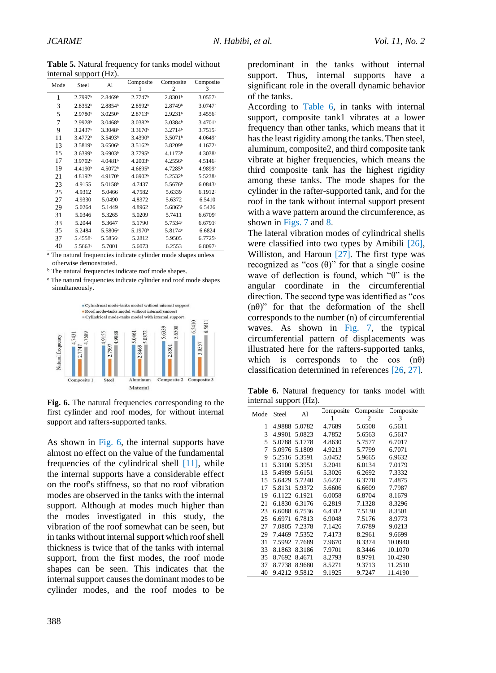**Table 5.** Natural frequency for tanks model without internal support (Hz).

| Mode | Steel               | Al                  | Composite             | Composite<br>2      | Composite<br>3      |
|------|---------------------|---------------------|-----------------------|---------------------|---------------------|
| 1    | 2.7997b             | 2.8469 <sup>b</sup> | $2.7747$ <sup>b</sup> | 2.8301 <sup>b</sup> | 3.0557 <sup>b</sup> |
| 3    | 2.8352 <sup>b</sup> | 2.8854 <sup>b</sup> | 2.8592b               | 2.8749b             | 3.0747 <sup>b</sup> |
| 5    | 2.9780 <sup>b</sup> | 3.0250 <sup>b</sup> | 2.8713 <sup>b</sup>   | 2.9231b             | 3.4556 <sup>b</sup> |
| 7    | 2.9928b             | 3.0468 <sup>b</sup> | 3.0382b               | 3.0384 <sup>b</sup> | 3.4701 <sup>b</sup> |
| 9    | 3.2437b             | 3.3048b             | 3.3670 <sup>b</sup>   | 3.2714b             | 3.7515 <sup>b</sup> |
| 11   | 3.4772 <sup>b</sup> | 3.5493 <sup>b</sup> | 3.4390 <sup>b</sup>   | 3.5071 <sup>b</sup> | 4.0649b             |
| 13   | 3.5819b             | 3.6506 <sup>b</sup> | 3.5162 <sup>b</sup>   | 3.8209b             | 4.1672 <sup>b</sup> |
| 15   | 3.6399b             | 3.6903 <sup>b</sup> | 3.7795 <sup>b</sup>   | 4.1173 <sup>b</sup> | 4.3038b             |
| 17   | 3.9702 <sup>b</sup> | 4.0481 <sup>b</sup> | 4.2003 <sup>b</sup>   | 4.2556 <sup>b</sup> | 4.5146 <sup>b</sup> |
| 19   | 4.4190 <sup>b</sup> | 4.5072 <sup>b</sup> | 4.6695 <sup>b</sup>   | 4.7285b             | 4.9899b             |
| 21   | 4.8192 <sup>b</sup> | 4.9170 <sup>b</sup> | 4.6902 <sup>b</sup>   | 5.2532b             | 5.5238b             |
| 23   | 4.9155              | 5.0158b             | 4.7437                | 5.5676b             | 6.0843 <sup>b</sup> |
| 25   | 4.9312              | 5.0466              | 4.7582                | 5.6339              | 6.1912 <sup>b</sup> |
| 27   | 4.9330              | 5.0490              | 4.8372                | 5.6372              | 6.5410              |
| 29   | 5.0264              | 5.1449              | 4.8962                | $5.6865^{\rm b}$    | 6.5426              |
| 31   | 5.0346              | 5.3265              | 5.0209                | 5.7411              | 6.6709c             |
| 33   | 5.2044              | 5.3647              | 5.1790                | 5.7534c             | 6.6791c             |
| 35   | 5.2484              | 5.5806 <sup>c</sup> | 5.1970 <sup>b</sup>   | 5.8174 <sup>c</sup> | 6.6824              |
| 37   | 5.4558 <sup>c</sup> | 5.5856 <sup>c</sup> | 5.2812                | 5.9505              | 6.7725c             |
| 40   | 5.5663 <sup>e</sup> | 5.7001              | 5.6073                | 6.2553              | 6.8097 <sup>b</sup> |

<sup>a</sup> The natural frequencies indicate cylinder mode shapes unless otherwise demonstrated.

<sup>b</sup> The natural frequencies indicate roof mode shapes.

ᶜ The natural frequencies indicate cylinder and roof mode shapes simultaneously.



Fig. 6. The natural frequencies corresponding to the first cylinder and roof modes, for without internal support and rafters-supported tanks.

As shown in Fig. 6, the internal supports have almost no effect on the value of the fundamental frequencies of the cylindrical shell [11], while the internal supports have a considerable effect on the roof's stiffness, so that no roof vibration modes are observed in the tanks with the internal support. Although at modes much higher than the modes investigated in this study, the vibration of the roof somewhat can be seen, but in tanks without internal support which roof shell thickness is twice that of the tanks with internal support, from the first modes, the roof mode shapes can be seen. This indicates that the internal support causes the dominant modes to be cylinder modes, and the roof modes to be

predominant in the tanks without internal support. Thus, internal supports have a significant role in the overall dynamic behavior of the tanks.

According to Table 6, in tanks with internal support, composite tank1 vibrates at a lower frequency than other tanks, which means that it has the least rigidity among the tanks. Then steel, aluminum, composite2, and third composite tank vibrate at higher frequencies, which means the third composite tank has the highest rigidity among these tanks. The mode shapes for the cylinder in the rafter-supported tank, and for the roof in the tank without internal support present with a wave pattern around the circumference, as shown in Figs. 7 and 8.

The lateral vibration modes of cylindrical shells were classified into two types by Amibili [26], Williston, and Haroun [27]. The first type was recognized as "cos  $(\theta)$ " for that a single cosine wave of deflection is found, which "θ" is the angular coordinate in the circumferential direction. The second type was identified as "cos  $(n\theta)$ " for that the deformation of the shell corresponds to the number (n) of circumferential waves. As shown in Fig. 7, the typical circumferential pattern of displacements was illustrated here for the rafters-supported tanks, which is corresponds to the cos  $(n\theta)$ classification determined in references [26, 27].

Table **6.** Natural frequency for tanks model with internal support (Hz).

|      |        |        | Composite | Composite | Composite |
|------|--------|--------|-----------|-----------|-----------|
| Mode | Steel  | Al     | 1         | 2         | 3         |
| 1    | 4.9888 | 5.0782 | 4.7689    | 5.6508    | 6.5611    |
| 3    | 4.9901 | 5.0823 | 4.7852    | 5.6563    | 6.5617    |
| 5    | 5.0788 | 5.1778 | 4.8630    | 5.7577    | 6.7017    |
| 7    | 5.0976 | 5.1809 | 4.9213    | 5.7799    | 6.7071    |
| 9    | 5.2516 | 5.3591 | 5.0452    | 5.9665    | 6.9632    |
| 11   | 5.3100 | 5.3951 | 5.2041    | 6.0134    | 7.0179    |
| 13   | 5.4989 | 5.6151 | 5.3026    | 6.2692    | 7.3332    |
| 15   | 5.6429 | 5.7240 | 5.6237    | 6.3778    | 7.4875    |
| 17   | 5.8131 | 5.9372 | 5.6606    | 6.6609    | 7.7987    |
| 19   | 6.1122 | 6.1921 | 6.0058    | 6.8704    | 8.1679    |
| 21   | 6.1830 | 6.3176 | 6.2819    | 7.1328    | 8.3296    |
| 23   | 6.6088 | 6.7536 | 6.4312    | 7.5130    | 8.3501    |
| 25   | 6.6971 | 6.7813 | 6.9048    | 7.5176    | 8.9773    |
| 27   | 7.0805 | 7.2378 | 7.1426    | 7.6789    | 9.0213    |
| 29   | 7.4469 | 7.5352 | 7.4173    | 8.2961    | 9.6699    |
| 31   | 7.5992 | 7.7689 | 7.9670    | 8.3374    | 10.0940   |
| 33   | 8.1863 | 8.3186 | 7.9701    | 8.3446    | 10.1070   |
| 35   | 8.7692 | 8.4671 | 8.2793    | 8.9791    | 10.4290   |
| 37   | 8.7738 | 8.9680 | 8.5271    | 9.3713    | 11.2510   |
| 40   | 9.4212 | 9.5812 | 9.1925    | 9.7247    | 11.4190   |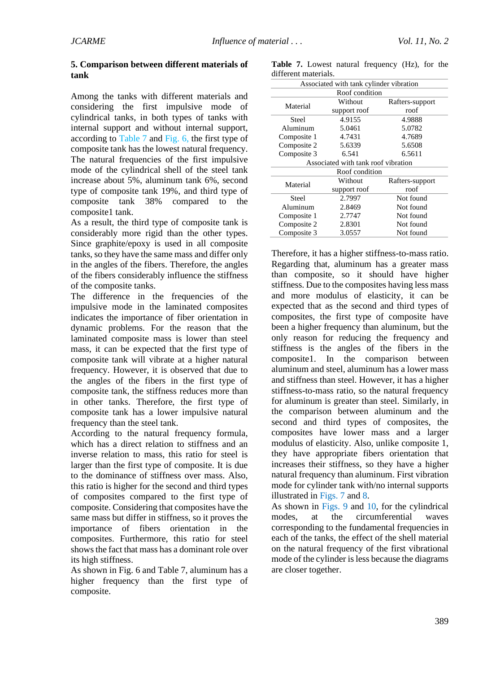#### **5. Comparison between different materials of tank**

Among the tanks with different materials and considering the first impulsive mode of cylindrical tanks, in both types of tanks with internal support and without internal support, according to Table 7 and Fig. 6, the first type of composite tank has the lowest natural frequency. The natural frequencies of the first impulsive mode of the cylindrical shell of the steel tank increase about 5%, aluminum tank 6%, second type of composite tank 19%, and third type of composite tank 38% compared to the composite1 tank.

As a result, the third type of composite tank is considerably more rigid than the other types. Since graphite/epoxy is used in all composite tanks, so they have the same mass and differ only in the angles of the fibers. Therefore, the angles of the fibers considerably influence the stiffness of the composite tanks.

The difference in the frequencies of the impulsive mode in the laminated composites indicates the importance of fiber orientation in dynamic problems. For the reason that the laminated composite mass is lower than steel mass, it can be expected that the first type of composite tank will vibrate at a higher natural frequency. However, it is observed that due to the angles of the fibers in the first type of composite tank, the stiffness reduces more than in other tanks. Therefore, the first type of composite tank has a lower impulsive natural frequency than the steel tank.

According to the natural frequency formula, which has a direct relation to stiffness and an inverse relation to mass, this ratio for steel is larger than the first type of composite. It is due to the dominance of stiffness over mass. Also, this ratio is higher for the second and third types of composites compared to the first type of composite. Considering that composites have the same mass but differ in stiffness, so it proves the importance of fibers orientation in the composites. Furthermore, this ratio for steel shows the fact that mass has a dominant role over its high stiffness.

As shown in Fig. 6 and Table 7, aluminum has a higher frequency than the first type of composite.

**Table 7.** Lowest natural frequency (Hz), for the different materials.

| Associated with tank cylinder vibration |                                     |                 |  |  |  |  |
|-----------------------------------------|-------------------------------------|-----------------|--|--|--|--|
|                                         | Roof condition                      |                 |  |  |  |  |
| Material                                | Without                             | Rafters-support |  |  |  |  |
|                                         | support roof                        | roof            |  |  |  |  |
| Steel                                   | 4.9155                              | 4.9888          |  |  |  |  |
| Aluminum                                | 5.0461                              | 5.0782          |  |  |  |  |
| Composite 1                             | 4.7431                              | 4.7689          |  |  |  |  |
| Composite 2                             | 5.6339                              | 5.6508          |  |  |  |  |
| Composite 3                             | 6.541                               | 6.5611          |  |  |  |  |
|                                         | Associated with tank roof vibration |                 |  |  |  |  |
|                                         | Roof condition                      |                 |  |  |  |  |
| Material                                | Without                             | Rafters-support |  |  |  |  |
|                                         | support roof                        | roof            |  |  |  |  |
| <b>Steel</b>                            | 2.7997                              | Not found       |  |  |  |  |
| Aluminum                                | 2.8469                              | Not found       |  |  |  |  |
| Composite 1                             | 2.7747                              | Not found       |  |  |  |  |
| Composite 2                             | 2.8301                              | Not found       |  |  |  |  |
| Composite 3                             | 3.0557                              | Not found       |  |  |  |  |

Therefore, it has a higher stiffness-to-mass ratio. Regarding that, aluminum has a greater mass than composite, so it should have higher stiffness. Due to the composites having less mass and more modulus of elasticity, it can be expected that as the second and third types of composites, the first type of composite have been a higher frequency than aluminum, but the only reason for reducing the frequency and stiffness is the angles of the fibers in the composite1. In the comparison between aluminum and steel, aluminum has a lower mass and stiffness than steel. However, it has a higher stiffness-to-mass ratio, so the natural frequency for aluminum is greater than steel. Similarly, in the comparison between aluminum and the second and third types of composites, the composites have lower mass and a larger modulus of elasticity. Also, unlike composite 1, they have appropriate fibers orientation that increases their stiffness, so they have a higher natural frequency than aluminum. First vibration mode for cylinder tank with/no internal supports illustrated in Figs. 7 and 8.

As shown in Figs. 9 and 10, for the cylindrical modes, at the circumferential waves corresponding to the fundamental frequencies in each of the tanks, the effect of the shell material on the natural frequency of the first vibrational mode of the cylinder is less because the diagrams are closer together.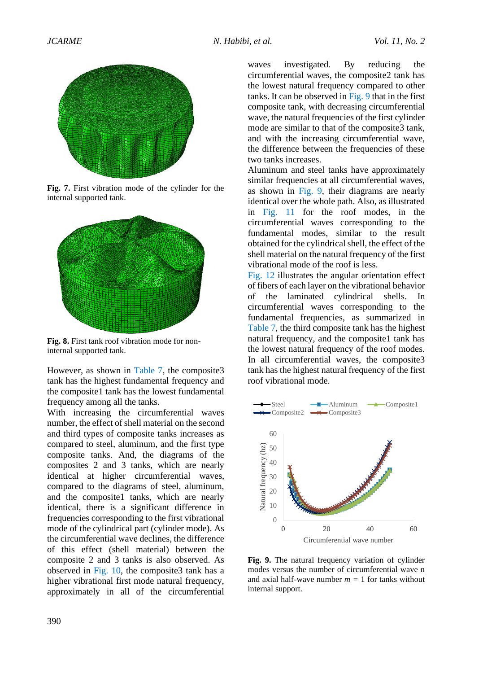

**Fig. 7.** First vibration mode of the cylinder for the internal supported tank.



**Fig. 8.** First tank roof vibration mode for noninternal supported tank.

However, as shown in Table 7, the composite3 tank has the highest fundamental frequency and the composite1 tank has the lowest fundamental frequency among all the tanks.

With increasing the circumferential waves number, the effect of shell material on the second and third types of composite tanks increases as compared to steel, aluminum, and the first type composite tanks. And, the diagrams of the composites 2 and 3 tanks, which are nearly identical at higher circumferential waves, compared to the diagrams of steel, aluminum, and the composite1 tanks, which are nearly identical, there is a significant difference in frequencies corresponding to the first vibrational mode of the cylindrical part (cylinder mode). As the circumferential wave declines, the difference of this effect (shell material) between the composite 2 and 3 tanks is also observed. As observed in Fig. 10, the composite3 tank has a higher vibrational first mode natural frequency, approximately in all of the circumferential

waves investigated. By reducing the circumferential waves, the composite2 tank has the lowest natural frequency compared to other tanks. It can be observed in Fig. 9 that in the first composite tank, with decreasing circumferential wave, the natural frequencies of the first cylinder mode are similar to that of the composite3 tank, and with the increasing circumferential wave, the difference between the frequencies of these two tanks increases.

Aluminum and steel tanks have approximately similar frequencies at all circumferential waves, as shown in Fig. 9, their diagrams are nearly identical over the whole path. Also, as illustrated in Fig. 11 for the roof modes, in the circumferential waves corresponding to the fundamental modes, similar to the result obtained for the cylindrical shell, the effect of the shell material on the natural frequency of the first vibrational mode of the roof is less.

Fig. 12 illustrates the angular orientation effect of fibers of each layer on the vibrational behavior of the laminated cylindrical shells. In circumferential waves corresponding to the fundamental frequencies, as summarized in Table 7, the third composite tank has the highest natural frequency, and the composite1 tank has the lowest natural frequency of the roof modes. In all circumferential waves, the composite3 tank has the highest natural frequency of the first roof vibrational mode.



**Fig. 9.** The natural frequency variation of cylinder modes versus the number of circumferential wave n and axial half-wave number  $m = 1$  for tanks without internal support.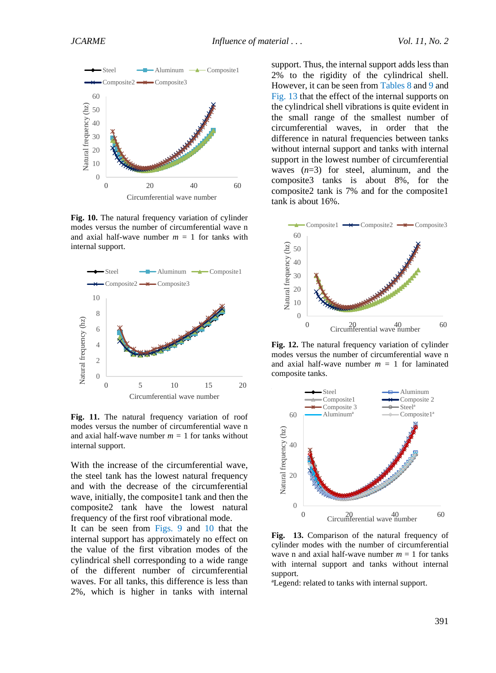

**Fig. 10.** The natural frequency variation of cylinder modes versus the number of circumferential wave n and axial half-wave number  $m = 1$  for tanks with internal support.



Fig. 11. The natural frequency variation of roof modes versus the number of circumferential wave n and axial half-wave number  $m = 1$  for tanks without internal support.

With the increase of the circumferential wave, the steel tank has the lowest natural frequency and with the decrease of the circumferential wave, initially, the composite1 tank and then the composite2 tank have the lowest natural frequency of the first roof vibrational mode. It can be seen from Figs. 9 and 10 that the internal support has approximately no effect on the value of the first vibration modes of the cylindrical shell corresponding to a wide range of the different number of circumferential waves. For all tanks, this difference is less than 2%, which is higher in tanks with internal support. Thus, the internal support adds less than 2% to the rigidity of the cylindrical shell. However, it can be seen from Tables 8 and 9 and Fig. 13 that the effect of the internal supports on the cylindrical shell vibrations is quite evident in the small range of the smallest number of circumferential waves, in order that the difference in natural frequencies between tanks without internal support and tanks with internal support in the lowest number of circumferential waves (*n*=3) for steel, aluminum, and the composite3 tanks is about 8%, for the composite2 tank is 7% and for the composite1 tank is about 16%.



**Fig. 12.** The natural frequency variation of cylinder modes versus the number of circumferential wave n and axial half-wave number  $m = 1$  for laminated composite tanks.



**Fig. 13.** Comparison of the natural frequency of cylinder modes with the number of circumferential wave n and axial half-wave number  $m = 1$  for tanks with internal support and tanks without internal support.

ªLegend: related to tanks with internal support.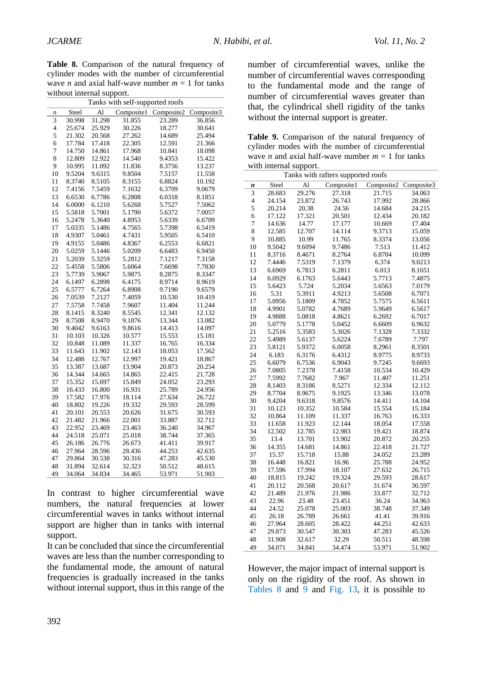**Table 8.** Comparison of the natural frequency of cylinder modes with the number of circumferential wave *n* and axial half-wave number  $m = 1$  for tanks without internal support.

| Tanks with self-supported roofs |        |        |            |            |            |
|---------------------------------|--------|--------|------------|------------|------------|
| $\boldsymbol{n}$                | Steel  | A1     | Composite1 | Composite2 | Composite3 |
| $\overline{3}$                  | 30.998 | 31.298 | 31.855     | 23.289     | 36.856     |
| $\overline{\mathcal{L}}$        | 25.674 | 25.929 | 30.226     | 18.277     | 30.641     |
| 5                               | 21.302 | 20.568 | 27.262     | 14.689     | 25.494     |
| 6                               | 17.784 | 17.418 | 22.305     | 12.591     | 21.366     |
| 7                               | 14.750 | 14.861 | 17.968     | 10.841     | 18.098     |
| 8                               | 12.809 | 12.922 | 14.540     | 9.4353     | 15.422     |
| 9                               | 10.995 | 11.092 | 11.836     | 8.3756     | 13.237     |
| 10                              | 9.5204 | 9.6315 | 9.8504     | 7.5157     | 11.558     |
| 11                              | 8.3740 | 8.5105 | 8.3155     | 6.8824     | 10.192     |
| 12                              | 7.4156 | 7.5459 | 7.1632     | 6.3709     | 9.0679     |
| 13                              | 6.6530 | 6.7786 | 6.2808     | 6.0318     | 8.1851     |
| 14                              | 6.0000 | 6.1210 | 5.6268     | 5.7527     | 7.5062     |
| 15                              | 5.5818 | 5.7001 | 5.1790     | 5.6372     | 7.0057     |
| 16                              | 5.2478 | 5.3640 | 4.8953     | 5.6339     | 6.6709     |
| 17                              | 5.0335 | 5.1486 | 4.7565     | 5.7398     | 6.5419     |
| 18                              | 4.9307 | 5.0461 | 4.7431     | 5.9505     | 6.5410     |
| 19                              | 4.9155 | 5.0486 | 4.8367     | 6.2553     | 6.6821     |
| 20                              | 5.0259 | 5.1446 | 5.0209     | 6.6483     | 6.9450     |
| 21                              | 5.2039 | 5.3259 | 5.2812     | 7.1217     | 7.3158     |
| 22                              | 5.4558 | 5.5806 | 5.6064     | 7.6698     | 7.7830     |
| 23                              | 5.7739 | 5.9067 | 5.9875     | 8.2875     | 8.3347     |
| 24                              | 6.1497 | 6.2898 | 6.4175     | 8.9714     | 8.9619     |
| 25                              | 6.5777 | 6.7264 | 6.8908     | 9.7190     | 9.6579     |
| 26                              | 7.0539 | 7.2127 | 7.4059     | 10.530     | 10.419     |
| 27                              | 7.5758 | 7.7458 | 7.9607     | 11.404     | 11.244     |
| 28                              | 8.1415 | 8.3240 | 8.5545     | 12.341     | 12.132     |
| 29                              | 8.7508 | 8.9470 | 9.1876     | 13.344     | 13.082     |
| 30                              | 9.4042 | 9.6163 | 9.8616     | 14.413     | 14.097     |
| 31                              | 10.103 | 10.326 | 10.577     | 15.553     | 15.181     |
| 32                              | 10.848 | 11.089 | 11.337     | 16.765     | 16.334     |
| 33                              | 11.643 | 11.902 | 12.143     | 18.053     | 17.562     |
| 34                              | 12.488 | 12.767 | 12.997     | 19.421     | 18.867     |
| 35                              | 13.387 | 13.687 | 13.904     | 20.873     | 20.254     |
| 36                              | 14.344 | 14.665 | 14.865     | 22.415     | 21.728     |
| 37                              | 15.352 | 15.697 | 15.849     | 24.052     | 23.293     |
| 38                              | 16.433 | 16.800 | 16.931     | 25.789     | 24.956     |
| 39                              | 17.582 | 17.976 | 18.114     | 27.634     | 26.722     |
| 40                              | 18.802 | 19.226 | 19.332     | 29.593     | 28.599     |
| 41                              | 20.101 | 20.553 | 20.626     | 31.675     | 30.593     |
| 42                              | 21.482 | 21.966 | 22.001     | 33.887     | 32.712     |
| 43                              | 22.952 | 23.469 | 23.463     | 36.240     | 34.967     |
| 44                              | 24.518 | 25.071 | 25.018     | 38.744     | 37.365     |
| 45                              | 26.186 | 26.776 | 26.673     | 41.411     | 39.917     |
| 46                              | 27.964 | 28.596 | 28.436     | 44.253     | 42.635     |
| 47                              | 29.864 | 30.538 | 30.316     | 47.283     | 45.530     |
| 48                              | 31.894 | 32.614 | 32.323     | 50.512     | 48.615     |
| 49                              | 34.064 | 34.834 | 34.465     | 53.971     | 51.903     |
|                                 |        |        |            |            |            |

In contrast to higher circumferential wave numbers, the natural frequencies at lower circumferential waves in tanks without internal support are higher than in tanks with internal support.

It can be concluded that since the circumferential waves are less than the number corresponding to the fundamental mode, the amount of natural frequencies is gradually increased in the tanks without internal support, thus in this range of the

number of circumferential waves, unlike the number of circumferential waves corresponding to the fundamental mode and the range of number of circumferential waves greater than that, the cylindrical shell rigidity of the tanks without the internal support is greater.

Table 9. Comparison of the natural frequency of cylinder modes with the number of circumferential wave *n* and axial half-wave number  $m = 1$  for tanks with internal support.

|                         | Tanks with rafters supported roofs |                |            |            |            |
|-------------------------|------------------------------------|----------------|------------|------------|------------|
| $\boldsymbol{n}$        | Steel                              | $\overline{A}$ | Composite1 | Composite2 | Composite3 |
| 3                       | 28.683                             | 29.276         | 27.318     | 21.715     | 34.063     |
| $\overline{\mathbf{4}}$ | 24.154                             | 23.872         | 26.743     | 17.992     | 28.866     |
| 5                       | 20.214                             | 20.38          | 24.56      | 14.684     | 24.215     |
| 6                       | 17.122                             | 17.321         | 20.501     | 12.434     | 20.182     |
| $\overline{7}$          | 14.636                             | 14.77          | 17.177     | 10.669     | 17.404     |
| 8                       | 12.585                             | 12.707         | 14.114     | 9.3713     | 15.059     |
| 9                       | 10.885                             | 10.99          | 11.765     | 8.3374     | 13.056     |
| 10                      | 9.5042                             | 9.6094         | 9.7486     | 7.513      | 11.412     |
| 11                      | 8.3716                             | 8.4671         | 8.2764     | 6.8704     | 10.099     |
| 12                      | 7.4446                             | 7.5319         | 7.1379     | 6.374      | 9.0213     |
| 13                      | 6.6969                             | 6.7813         | 6.2811     | 6.013      | 8.1651     |
| 14                      | 6.0929                             | 6.1763         | 5.6443     | 5.7713     | 7.4875     |
| 15                      | 5.6423                             | 5.724          | 5.2034     | 5.6563     | 7.0179     |
| 16                      | 5.31                               | 5.3911         | 4.9213     | 5.6508     | 6.7071     |
| 17                      | 5.0956                             | 5.1809         | 4.7852     | 5.7575     | 6.5611     |
| 18                      | 4.9901                             | 5.0782         | 4.7689     | 5.9649     | 6.5617     |
| 19                      | 4.9888                             | 5.0818         | 4.8621     | 6.2692     | 6.7017     |
| 20                      | 5.0779                             | 5.1778         | 5.0452     | 6.6609     | 6.9632     |
| 21                      | 5.2516                             | 5.3583         | 5.3026     | 7.1328     | 7.3332     |
| 22                      | 5.4989                             | 5.6137         | 5.6224     | 7.6789     | 7.797      |
| 23                      | 5.8121                             | 5.9372         | 6.0058     | 8.2961     | 8.3501     |
| 24                      | 6.183                              | 6.3176         | 6.4312     | 8.9775     | 8.9733     |
| 25                      | 6.6079                             | 6.7536         | 6.9043     | 9.7245     | 9.6693     |
| 26                      | 7.0805                             | 7.2378         | 7.4158     | 10.534     | 10.429     |
| 27                      | 7.5992                             | 7.7682         | 7.967      | 11.407     | 11.251     |
| 28                      | 8.1403                             | 8.3186         | 8.5271     | 12.334     | 12.112     |
| 29                      | 8.7704                             | 8.9675         | 9.1925     | 13.346     | 13.078     |
| 30                      | 9.4204                             | 9.6318         | 9.8576     | 14.411     | 14.104     |
| 31                      | 10.123                             | 10.352         | 10.584     | 15.554     | 15.184     |
| 32                      | 10.864                             | 11.109         | 11.337     | 16.763     | 16.333     |
| 33                      | 11.658                             | 11.923         | 12.144     | 18.054     | 17.558     |
| 34                      | 12.502                             | 12.785         | 12.983     | 19.421     | 18.874     |
| 35                      | 13.4                               | 13.701         | 13.902     | 20.872     | 20.255     |
| 36                      | 14.355                             | 14.681         | 14.861     | 22.418     | 21.727     |
| 37                      | 15.37                              | 15.718         | 15.88      | 24.052     | 23.289     |
| 38                      | 16.448                             | 16.821         | 16.96      | 25.788     | 24.952     |
| 39                      | 17.596                             | 17.994         | 18.107     | 27.632     | 26.715     |
| 40                      | 18.815                             | 19.242         | 19.324     | 29.593     | 28.617     |
| 41                      | 20.112                             | 20.568         | 20.617     | 31.674     | 30.597     |
| 42                      | 21.489                             | 21.976         | 21.986     | 33.877     | 32.712     |
| 43                      | 22.96                              | 23.48          | 23.451     | 36.24      | 34.963     |
| 44                      | 24.52                              | 25.078         | 25.003     | 38.748     | 37.349     |
| 45                      | 26.18                              | 26.789         | 26.661     | 41.41      | 39.916     |
| 46                      | 27.964                             | 28.605         | 28.422     | 44.251     | 42.633     |
| 47                      | 29.873                             | 30.547         | 30.303     | 47.283     | 45.526     |
| 48                      | 31.908                             | 32.617         | 32.29      | 50.511     | 48.598     |
| 49                      | 34.071                             | 34.841         | 34.474     | 53.971     | 51.902     |

However, the major impact of internal support is only on the rigidity of the roof. As shown in Tables 8 and 9 and Fig. 13, it is possible to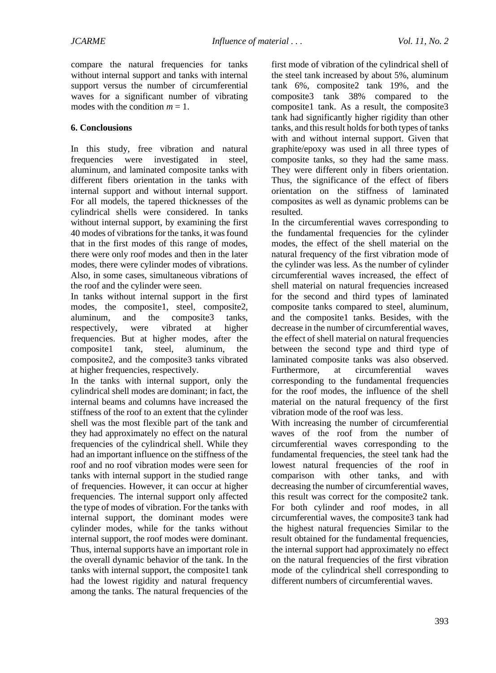compare the natural frequencies for tanks without internal support and tanks with internal support versus the number of circumferential waves for a significant number of vibrating modes with the condition  $m = 1$ .

#### **6. Conclousions**

In this study, free vibration and natural frequencies were investigated in steel, aluminum, and laminated composite tanks with different fibers orientation in the tanks with internal support and without internal support. For all models, the tapered thicknesses of the cylindrical shells were considered. In tanks without internal support, by examining the first 40 modes of vibrations for the tanks, it was found that in the first modes of this range of modes, there were only roof modes and then in the later modes, there were cylinder modes of vibrations. Also, in some cases, simultaneous vibrations of the roof and the cylinder were seen.

In tanks without internal support in the first modes, the composite1, steel, composite2, aluminum, and the composite3 tanks, respectively, were vibrated at higher frequencies. But at higher modes, after the composite1 tank, steel, aluminum, the composite2, and the composite3 tanks vibrated at higher frequencies, respectively.

In the tanks with internal support, only the cylindrical shell modes are dominant; in fact, the internal beams and columns have increased the stiffness of the roof to an extent that the cylinder shell was the most flexible part of the tank and they had approximately no effect on the natural frequencies of the cylindrical shell. While they had an important influence on the stiffness of the roof and no roof vibration modes were seen for tanks with internal support in the studied range of frequencies. However, it can occur at higher frequencies. The internal support only affected the type of modes of vibration. For the tanks with internal support, the dominant modes were cylinder modes, while for the tanks without internal support, the roof modes were dominant. Thus, internal supports have an important role in the overall dynamic behavior of the tank. In the tanks with internal support, the composite1 tank had the lowest rigidity and natural frequency among the tanks. The natural frequencies of the first mode of vibration of the cylindrical shell of the steel tank increased by about 5%, aluminum tank 6%, composite2 tank 19%, and the composite3 tank 38% compared to the composite1 tank. As a result, the composite3 tank had significantly higher rigidity than other tanks, and this result holds for both types of tanks with and without internal support. Given that graphite/epoxy was used in all three types of composite tanks, so they had the same mass. They were different only in fibers orientation. Thus, the significance of the effect of fibers orientation on the stiffness of laminated composites as well as dynamic problems can be resulted.

In the circumferential waves corresponding to the fundamental frequencies for the cylinder modes, the effect of the shell material on the natural frequency of the first vibration mode of the cylinder was less. As the number of cylinder circumferential waves increased, the effect of shell material on natural frequencies increased for the second and third types of laminated composite tanks compared to steel, aluminum, and the composite1 tanks. Besides, with the decrease in the number of circumferential waves, the effect of shell material on natural frequencies between the second type and third type of laminated composite tanks was also observed. Furthermore, at circumferential waves corresponding to the fundamental frequencies for the roof modes, the influence of the shell material on the natural frequency of the first vibration mode of the roof was less.

With increasing the number of circumferential waves of the roof from the number of circumferential waves corresponding to the fundamental frequencies, the steel tank had the lowest natural frequencies of the roof in comparison with other tanks, and with decreasing the number of circumferential waves, this result was correct for the composite2 tank. For both cylinder and roof modes, in all circumferential waves, the composite3 tank had the highest natural frequencies Similar to the result obtained for the fundamental frequencies, the internal support had approximately no effect on the natural frequencies of the first vibration mode of the cylindrical shell corresponding to different numbers of circumferential waves.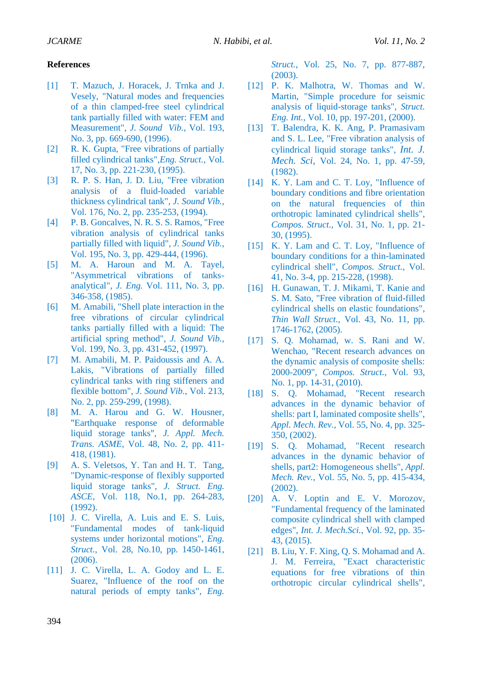#### **References**

- [1] T. Mazuch, J. Horacek, J. Trnka and J. Vesely, "Natural modes and frequencies of a thin clamped-free steel cylindrical tank partially filled with water: FEM and Measurement", *J. Sound Vib.*, Vol. 193, No. 3, pp. 669-690, (1996).
- [2] R. K. Gupta, "Free vibrations of partially filled cylindrical tanks",*Eng. Struct.*, Vol. 17, No. 3, pp. 221-230, (1995).
- [3] R. P. S. Han, J. D. Liu, "Free vibration analysis of a fluid-loaded variable thickness cylindrical tank", *J. Sound Vib.,*  Vol. 176, No. 2, pp. 235-253, (1994).
- [4] P. B. Goncalves, N. R. S. S. Ramos, "Free vibration analysis of cylindrical tanks partially filled with liquid", *J. Sound Vib.*, Vol. 195, No. 3, pp. 429-444, (1996).
- [5] M. A. Haroun and M. A. Tayel, "Asymmetrical vibrations of tanksanalytical", *J. Eng.* Vol. 111, No. 3, pp. 346-358, (1985).
- [6] M. Amabili, "Shell plate interaction in the free vibrations of circular cylindrical tanks partially filled with a liquid: The artificial spring method", *J. Sound Vib.*, Vol. 199, No. 3, pp. 431-452, (1997).
- [7] M. Amabili, M. P. Paidoussis and A. A. Lakis, "Vibrations of partially filled cylindrical tanks with ring stiffeners and flexible bottom", *J. Sound Vib.*, Vol. 213, No. 2, pp. 259-299, (1998).
- [8] M. A. Harou and G. W. Housner, "Earthquake response of deformable liquid storage tanks", *J. Appl. Mech. Trans. ASME*, Vol. 48, No. 2, pp. 411- 418, (1981).
- [9] A. S. Veletsos, Y. Tan and H. T. Tang, "Dynamic-response of flexibly supported liquid storage tanks", *J. Struct. Eng. ASCE*, Vol. 118, No.1, pp. 264-283, (1992).
- [10] J. C. Virella, A. Luis and E. S. Luis, "Fundamental modes of tank-liquid systems under horizontal motions", *Eng. Struct.*, Vol. 28, No.10, pp. 1450-1461, (2006).
- [11] J. C. Virella, L. A. Godoy and L. E. Suarez, "Influence of the roof on the natural periods of empty tanks", *Eng.*

*Struct.*, Vol. 25, No. 7, pp. 877-887, (2003).

- [12] P. K. Malhotra, W. Thomas and W. Martin, "Simple procedure for seismic analysis of liquid-storage tanks", *Struct. Eng. Int.*, Vol. 10, pp. 197-201, (2000).
- [13] T. Balendra, K. K. Ang, P. Pramasivam and S. L. Lee, "Free vibration analysis of cylindrical liquid storage tanks", *Int. J. Mech. Sci,* Vol. 24, No. 1, pp. 47-59, (1982).
- [14] K. Y. Lam and C. T. Loy, "Influence of boundary conditions and fibre orientation on the natural frequencies of thin orthotropic laminated cylindrical shells", *Compos. Struct.*, Vol. 31, No. 1, pp. 21- 30, (1995).
- [15] K. Y. Lam and C. T. Loy, "Influence of boundary conditions for a thin-laminated cylindrical shell", *Compos. Struct.*, Vol. 41, No. 3-4, pp. 215-228, (1998).
- [16] H. Gunawan, T. J. Mikami, T. Kanie and S. M. Sato, "Free vibration of fluid-filled cylindrical shells on elastic foundations", *Thin Wall Struct*., Vol. 43, No. 11, pp. 1746-1762, (2005).
- [17] S. Q. Mohamad, w. S. Rani and W. Wenchao, "Recent research advances on the dynamic analysis of composite shells: 2000-2009", *Compos. Struct.*, Vol. 93, No. 1, pp. 14-31, (2010).
- [18] S. Q. Mohamad, "Recent research advances in the dynamic behavior of shells: part I, laminated composite shells", *Appl. Mech. Rev.*, Vol. 55, No. 4, pp. 325- 350, (2002).
- [19] S. Q. Mohamad, "Recent research advances in the dynamic behavior of shells, part2: Homogeneous shells", *Appl. Mech. Rev.*, Vol. 55, No. 5, pp. 415-434, (2002).
- [20] A. V. Loptin and E. V. Morozov, "Fundamental frequency of the laminated composite cylindrical shell with clamped edges", *Int. J. Mech.Sci.*, Vol. 92, pp. 35- 43, (2015).
- [21] B. Liu, Y. F. Xing, Q. S. Mohamad and A. J. M. Ferreira, "Exact characteristic equations for free vibrations of thin orthotropic circular cylindrical shells",